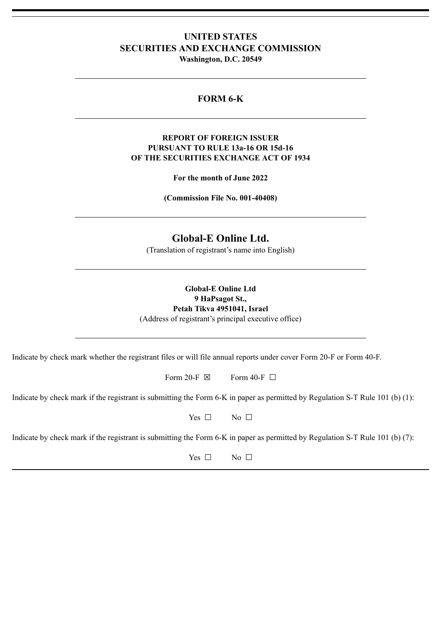# **UNITED STATES SECURITIES AND EXCHANGE COMMISSION**

**Washington, D.C. 20549**

## **FORM 6-K**

## **REPORT OF FOREIGN ISSUER PURSUANT TO RULE 13a-16 OR 15d-16 OF THE SECURITIES EXCHANGE ACT OF 1934**

**For the month of June 2022**

**(Commission File No. 001-40408)**

# **Global-E Online Ltd.**

(Translation of registrant's name into English)

## **Global-E Online Ltd 9 HaPsagot St., Petah Tikva 4951041, Israel** (Address of registrant's principal executive office)

Indicate by check mark whether the registrant files or will file annual reports under cover Form 20-F or Form 40-F.

Form 20-F  $\boxtimes$  Form 40-F  $\Box$ 

Indicate by check mark if the registrant is submitting the Form 6-K in paper as permitted by Regulation S-T Rule 101 (b) (1):

Yes  $\Box$  No  $\Box$ 

Indicate by check mark if the registrant is submitting the Form 6-K in paper as permitted by Regulation S-T Rule 101 (b) (7):

Yes □ No □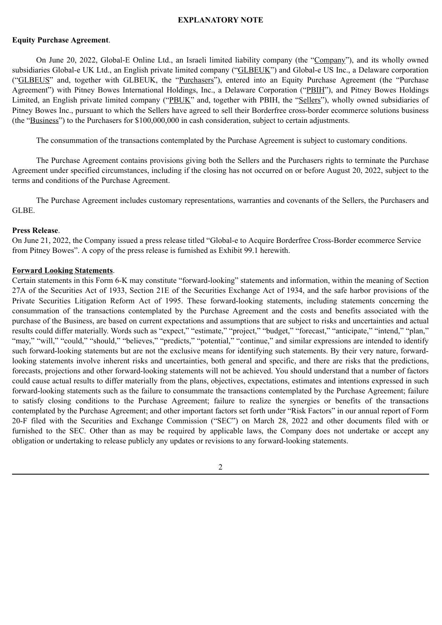### **EXPLANATORY NOTE**

#### **Equity Purchase Agreement**.

On June 20, 2022, Global-E Online Ltd., an Israeli limited liability company (the "Company"), and its wholly owned subsidiaries Global-e UK Ltd., an English private limited company ("GLBEUK") and Global-e US Inc., a Delaware corporation ("GLBEUS" and, together with GLBEUK, the "Purchasers"), entered into an Equity Purchase Agreement (the "Purchase Agreement") with Pitney Bowes International Holdings, Inc., a Delaware Corporation ("PBIH"), and Pitney Bowes Holdings Limited, an English private limited company ("PBUK" and, together with PBIH, the "Sellers"), wholly owned subsidiaries of Pitney Bowes Inc., pursuant to which the Sellers have agreed to sell their Borderfree cross-border ecommerce solutions business (the "Business") to the Purchasers for \$100,000,000 in cash consideration, subject to certain adjustments.

The consummation of the transactions contemplated by the Purchase Agreement is subject to customary conditions.

The Purchase Agreement contains provisions giving both the Sellers and the Purchasers rights to terminate the Purchase Agreement under specified circumstances, including if the closing has not occurred on or before August 20, 2022, subject to the terms and conditions of the Purchase Agreement.

The Purchase Agreement includes customary representations, warranties and covenants of the Sellers, the Purchasers and GLBE.

### **Press Release**.

On June 21, 2022, the Company issued a press release titled "Global-e to Acquire Borderfree Cross-Border ecommerce Service from Pitney Bowes". A copy of the press release is furnished as Exhibit 99.1 herewith.

### **Forward Looking Statements**.

Certain statements in this Form 6-K may constitute "forward-looking" statements and information, within the meaning of Section 27A of the Securities Act of 1933, Section 21E of the Securities Exchange Act of 1934, and the safe harbor provisions of the Private Securities Litigation Reform Act of 1995. These forward-looking statements, including statements concerning the consummation of the transactions contemplated by the Purchase Agreement and the costs and benefits associated with the purchase of the Business, are based on current expectations and assumptions that are subject to risks and uncertainties and actual results could differ materially. Words such as "expect," "estimate," "project," "budget," "forecast," "anticipate," "intend," "plan," "may," "will," "could," "should," "believes," "predicts," "potential," "continue," and similar expressions are intended to identify such forward-looking statements but are not the exclusive means for identifying such statements. By their very nature, forwardlooking statements involve inherent risks and uncertainties, both general and specific, and there are risks that the predictions, forecasts, projections and other forward-looking statements will not be achieved. You should understand that a number of factors could cause actual results to differ materially from the plans, objectives, expectations, estimates and intentions expressed in such forward-looking statements such as the failure to consummate the transactions contemplated by the Purchase Agreement; failure to satisfy closing conditions to the Purchase Agreement; failure to realize the synergies or benefits of the transactions contemplated by the Purchase Agreement; and other important factors set forth under "Risk Factors" in our annual report of Form 20-F filed with the Securities and Exchange Commission ("SEC") on March 28, 2022 and other documents filed with or furnished to the SEC. Other than as may be required by applicable laws, the Company does not undertake or accept any obligation or undertaking to release publicly any updates or revisions to any forward-looking statements.

2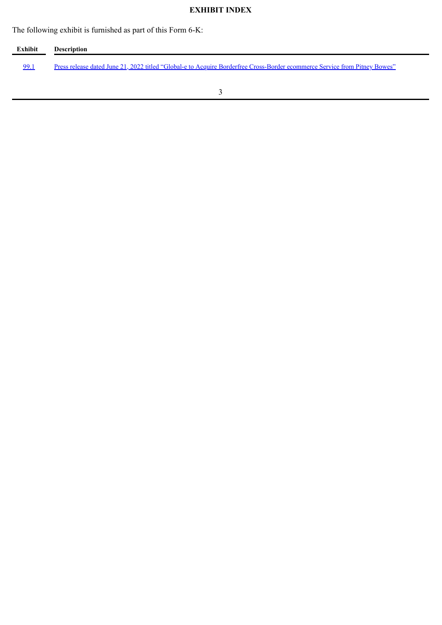# **EXHIBIT INDEX**

The following exhibit is furnished as part of this Form 6-K:

| Exhibit | <b>Description</b>                                                                                                         |
|---------|----------------------------------------------------------------------------------------------------------------------------|
| 99.1    | Press release dated June 21, 2022 titled "Global-e to Acquire Borderfree Cross-Border ecommerce Service from Pitney Bowes" |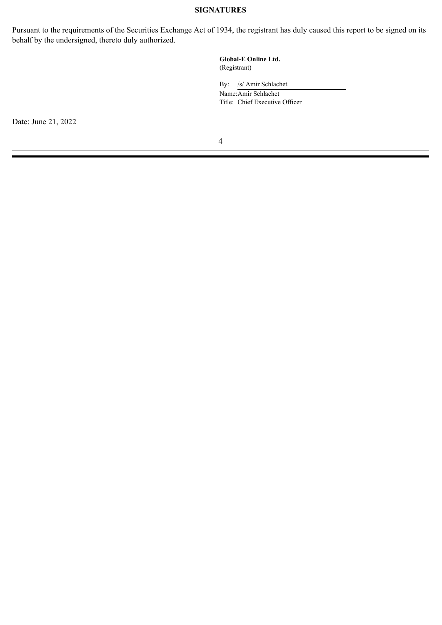### **SIGNATURES**

Pursuant to the requirements of the Securities Exchange Act of 1934, the registrant has duly caused this report to be signed on its behalf by the undersigned, thereto duly authorized.

> **Global-E Online Ltd.** (Registrant)

By: /s/ Amir Schlachet

Name:Amir Schlachet Title: Chief Executive Officer

Date: June 21, 2022

4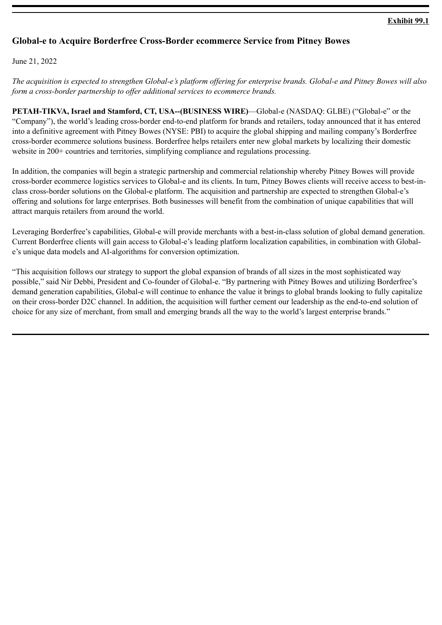## **Exhibit 99.1**

## <span id="page-4-0"></span>**Global-e to Acquire Borderfree Cross-Border ecommerce Service from Pitney Bowes**

June 21, 2022

*The acquisition is expected to strengthen Global-e's platform offering for enterprise brands. Global-e and Pitney Bowes will also form a cross-border partnership to offer additional services to ecommerce brands.*

**PETAH-TIKVA, Israel and Stamford, CT, USA--(BUSINESS WIRE)**—Global-e (NASDAQ: GLBE) ("Global-e" or the "Company"), the world's leading cross-border end-to-end platform for brands and retailers, today announced that it has entered into a definitive agreement with Pitney Bowes (NYSE: PBI) to acquire the global shipping and mailing company's Borderfree cross-border ecommerce solutions business. Borderfree helps retailers enter new global markets by localizing their domestic website in 200+ countries and territories, simplifying compliance and regulations processing.

In addition, the companies will begin a strategic partnership and commercial relationship whereby Pitney Bowes will provide cross-border ecommerce logistics services to Global-e and its clients. In turn, Pitney Bowes clients will receive access to best-inclass cross-border solutions on the Global-e platform. The acquisition and partnership are expected to strengthen Global-e's offering and solutions for large enterprises. Both businesses will benefit from the combination of unique capabilities that will attract marquis retailers from around the world.

Leveraging Borderfree's capabilities, Global-e will provide merchants with a best-in-class solution of global demand generation. Current Borderfree clients will gain access to Global-e's leading platform localization capabilities, in combination with Globale's unique data models and AI-algorithms for conversion optimization.

"This acquisition follows our strategy to support the global expansion of brands of all sizes in the most sophisticated way possible," said Nir Debbi, President and Co-founder of Global-e. "By partnering with Pitney Bowes and utilizing Borderfree's demand generation capabilities, Global-e will continue to enhance the value it brings to global brands looking to fully capitalize on their cross-border D2C channel. In addition, the acquisition will further cement our leadership as the end-to-end solution of choice for any size of merchant, from small and emerging brands all the way to the world's largest enterprise brands."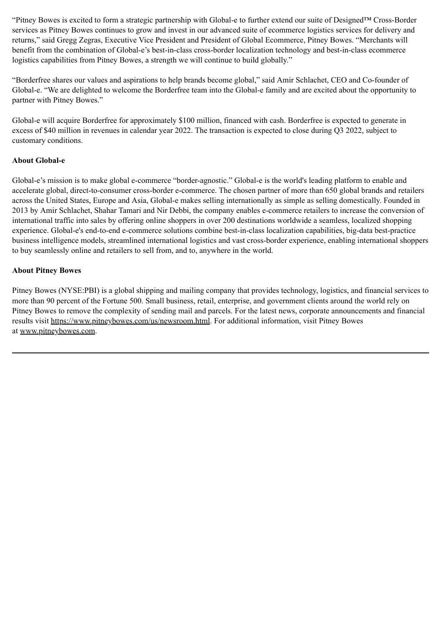"Pitney Bowes is excited to form a strategic partnership with Global-e to further extend our suite of Designed™ Cross-Border services as Pitney Bowes continues to grow and invest in our advanced suite of ecommerce logistics services for delivery and returns," said Gregg Zegras, Executive Vice President and President of Global Ecommerce, Pitney Bowes. "Merchants will benefit from the combination of Global-e's best-in-class cross-border localization technology and best-in-class ecommerce logistics capabilities from Pitney Bowes, a strength we will continue to build globally."

"Borderfree shares our values and aspirations to help brands become global," said Amir Schlachet, CEO and Co-founder of Global-e. "We are delighted to welcome the Borderfree team into the Global-e family and are excited about the opportunity to partner with Pitney Bowes."

Global-e will acquire Borderfree for approximately \$100 million, financed with cash. Borderfree is expected to generate in excess of \$40 million in revenues in calendar year 2022. The transaction is expected to close during Q3 2022, subject to customary conditions.

## **About Global-e**

Global-e's mission is to make global e-commerce "border-agnostic." Global-e is the world's leading platform to enable and accelerate global, direct-to-consumer cross-border e-commerce. The chosen partner of more than 650 global brands and retailers across the United States, Europe and Asia, Global-e makes selling internationally as simple as selling domestically. Founded in 2013 by Amir Schlachet, Shahar Tamari and Nir Debbi, the company enables e-commerce retailers to increase the conversion of international traffic into sales by offering online shoppers in over 200 destinations worldwide a seamless, localized shopping experience. Global-e's end-to-end e-commerce solutions combine best-in-class localization capabilities, big-data best-practice business intelligence models, streamlined international logistics and vast cross-border experience, enabling international shoppers to buy seamlessly online and retailers to sell from, and to, anywhere in the world.

## **About Pitney Bowes**

Pitney Bowes (NYSE:PBI) is a global shipping and mailing company that provides technology, logistics, and financial services to more than 90 percent of the Fortune 500. Small business, retail, enterprise, and government clients around the world rely on Pitney Bowes to remove the complexity of sending mail and parcels. For the latest news, corporate announcements and financial results visit https://www.pitneybowes.com/us/newsroom.html. For additional information, visit Pitney Bowes at www.pitneybowes.com.